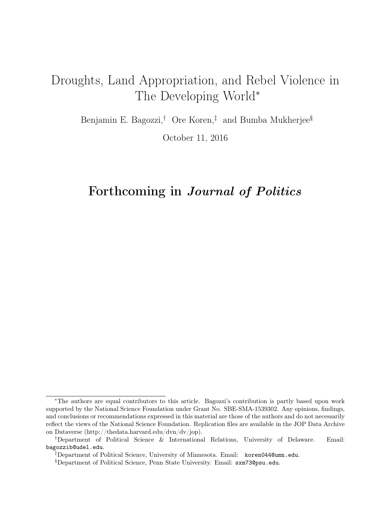# Droughts, Land Appropriation, and Rebel Violence in The Developing World<sup>∗</sup>

Benjamin E. Bagozzi,<sup>†</sup> Ore Koren,<sup>‡</sup> and Bumba Mukherjee<sup>§</sup>

October 11, 2016

## Forthcoming in Journal of Politics

<sup>∗</sup>The authors are equal contributors to this article. Bagozzi's contribution is partly based upon work supported by the National Science Foundation under Grant No. SBE-SMA-1539302. Any opinions, findings, and conclusions or recommendations expressed in this material are those of the authors and do not necessarily reflect the views of the National Science Foundation. Replication files are available in the JOP Data Archive on Dataverse (http://thedata.harvard.edu/dvn/dv/jop).

<sup>†</sup>Department of Political Science & International Relations, University of Delaware. Email: bagozzib@udel.edu.

<sup>‡</sup>Department of Political Science, University of Minnesota. Email: koren044@umn.edu.

<sup>§</sup>Department of Political Science, Penn State University. Email: sxm73@psu.edu.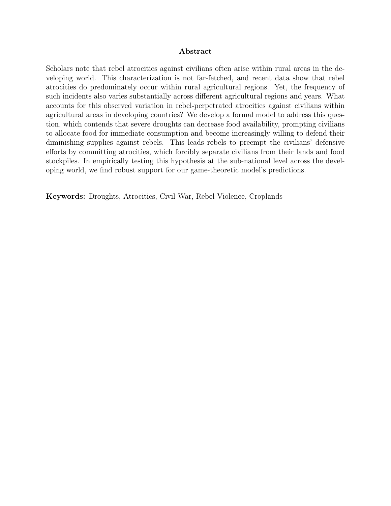#### Abstract

Scholars note that rebel atrocities against civilians often arise within rural areas in the developing world. This characterization is not far-fetched, and recent data show that rebel atrocities do predominately occur within rural agricultural regions. Yet, the frequency of such incidents also varies substantially across different agricultural regions and years. What accounts for this observed variation in rebel-perpetrated atrocities against civilians within agricultural areas in developing countries? We develop a formal model to address this question, which contends that severe droughts can decrease food availability, prompting civilians to allocate food for immediate consumption and become increasingly willing to defend their diminishing supplies against rebels. This leads rebels to preempt the civilians' defensive efforts by committing atrocities, which forcibly separate civilians from their lands and food stockpiles. In empirically testing this hypothesis at the sub-national level across the developing world, we find robust support for our game-theoretic model's predictions.

Keywords: Droughts, Atrocities, Civil War, Rebel Violence, Croplands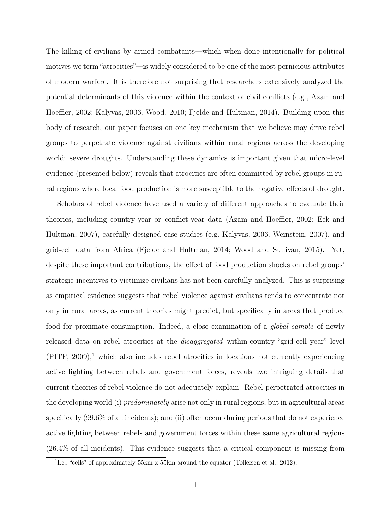The killing of civilians by armed combatants—which when done intentionally for political motives we term "atrocities"—is widely considered to be one of the most pernicious attributes of modern warfare. It is therefore not surprising that researchers extensively analyzed the potential determinants of this violence within the context of civil conflicts (e.g., Azam and Hoeffler, 2002; Kalyvas, 2006; Wood, 2010; Fjelde and Hultman, 2014). Building upon this body of research, our paper focuses on one key mechanism that we believe may drive rebel groups to perpetrate violence against civilians within rural regions across the developing world: severe droughts. Understanding these dynamics is important given that micro-level evidence (presented below) reveals that atrocities are often committed by rebel groups in rural regions where local food production is more susceptible to the negative effects of drought.

Scholars of rebel violence have used a variety of different approaches to evaluate their theories, including country-year or conflict-year data (Azam and Hoeffler, 2002; Eck and Hultman, 2007), carefully designed case studies (e.g. Kalyvas, 2006; Weinstein, 2007), and grid-cell data from Africa (Fjelde and Hultman, 2014; Wood and Sullivan, 2015). Yet, despite these important contributions, the effect of food production shocks on rebel groups' strategic incentives to victimize civilians has not been carefully analyzed. This is surprising as empirical evidence suggests that rebel violence against civilians tends to concentrate not only in rural areas, as current theories might predict, but specifically in areas that produce food for proximate consumption. Indeed, a close examination of a *global sample* of newly released data on rebel atrocities at the disaggregated within-country "grid-cell year" level  $(PITF, 2009)$ ,<sup>1</sup> which also includes rebel atrocities in locations not currently experiencing active fighting between rebels and government forces, reveals two intriguing details that current theories of rebel violence do not adequately explain. Rebel-perpetrated atrocities in the developing world (i) predominately arise not only in rural regions, but in agricultural areas specifically (99.6% of all incidents); and (ii) often occur during periods that do not experience active fighting between rebels and government forces within these same agricultural regions (26.4% of all incidents). This evidence suggests that a critical component is missing from

<sup>&</sup>lt;sup>1</sup>I.e., "cells" of approximately 55km x 55km around the equator (Tollefsen et al., 2012).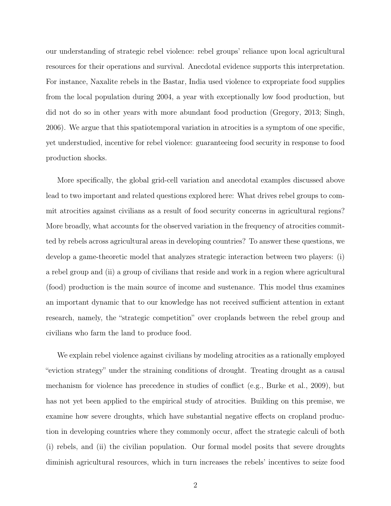our understanding of strategic rebel violence: rebel groups' reliance upon local agricultural resources for their operations and survival. Anecdotal evidence supports this interpretation. For instance, Naxalite rebels in the Bastar, India used violence to expropriate food supplies from the local population during 2004, a year with exceptionally low food production, but did not do so in other years with more abundant food production (Gregory, 2013; Singh, 2006). We argue that this spatiotemporal variation in atrocities is a symptom of one specific, yet understudied, incentive for rebel violence: guaranteeing food security in response to food production shocks.

More specifically, the global grid-cell variation and anecdotal examples discussed above lead to two important and related questions explored here: What drives rebel groups to commit atrocities against civilians as a result of food security concerns in agricultural regions? More broadly, what accounts for the observed variation in the frequency of atrocities committed by rebels across agricultural areas in developing countries? To answer these questions, we develop a game-theoretic model that analyzes strategic interaction between two players: (i) a rebel group and (ii) a group of civilians that reside and work in a region where agricultural (food) production is the main source of income and sustenance. This model thus examines an important dynamic that to our knowledge has not received sufficient attention in extant research, namely, the "strategic competition" over croplands between the rebel group and civilians who farm the land to produce food.

We explain rebel violence against civilians by modeling atrocities as a rationally employed "eviction strategy" under the straining conditions of drought. Treating drought as a causal mechanism for violence has precedence in studies of conflict (e.g., Burke et al., 2009), but has not yet been applied to the empirical study of atrocities. Building on this premise, we examine how severe droughts, which have substantial negative effects on cropland production in developing countries where they commonly occur, affect the strategic calculi of both (i) rebels, and (ii) the civilian population. Our formal model posits that severe droughts diminish agricultural resources, which in turn increases the rebels' incentives to seize food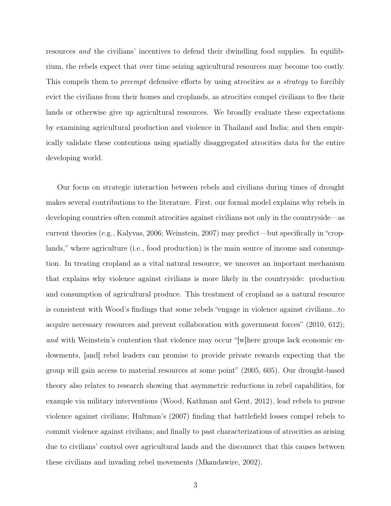resources and the civilians' incentives to defend their dwindling food supplies. In equilibrium, the rebels expect that over time seizing agricultural resources may become too costly. This compels them to *preempt* defensive efforts by using atrocities as a strategy to forcibly evict the civilians from their homes and croplands, as atrocities compel civilians to flee their lands or otherwise give up agricultural resources. We broadly evaluate these expectations by examining agricultural production and violence in Thailand and India; and then empirically validate these contentions using spatially disaggregated atrocities data for the entire developing world.

Our focus on strategic interaction between rebels and civilians during times of drought makes several contributions to the literature. First, our formal model explains why rebels in developing countries often commit atrocities against civilians not only in the countryside—as current theories (e.g., Kalyvas, 2006; Weinstein, 2007) may predict—but specifically in "croplands," where agriculture (i.e., food production) is the main source of income and consumption. In treating cropland as a vital natural resource, we uncover an important mechanism that explains why violence against civilians is more likely in the countryside: production and consumption of agricultural produce. This treatment of cropland as a natural resource is consistent with Wood's findings that some rebels "engage in violence against civilians...to acquire necessary resources and prevent collaboration with government forces" (2010, 612); and with Weinstein's contention that violence may occur "|w|here groups lack economic endowments, [and] rebel leaders can promise to provide private rewards expecting that the group will gain access to material resources at some point" (2005, 605). Our drought-based theory also relates to research showing that asymmetric reductions in rebel capabilities, for example via military interventions (Wood, Kathman and Gent, 2012), lead rebels to pursue violence against civilians; Hultman's (2007) finding that battlefield losses compel rebels to commit violence against civilians; and finally to past characterizations of atrocities as arising due to civilians' control over agricultural lands and the disconnect that this causes between these civilians and invading rebel movements (Mkandawire, 2002).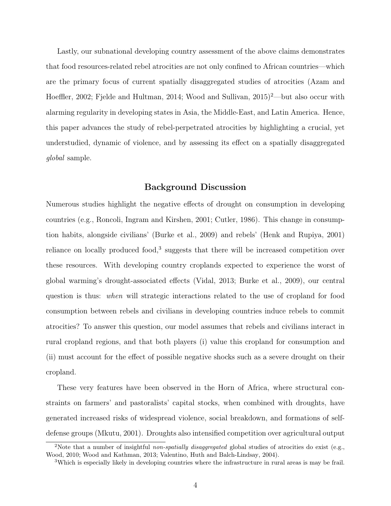Lastly, our subnational developing country assessment of the above claims demonstrates that food resources-related rebel atrocities are not only confined to African countries—which are the primary focus of current spatially disaggregated studies of atrocities (Azam and Hoeffler, 2002; Fjelde and Hultman, 2014; Wood and Sullivan,  $2015$ <sup>2</sup>—but also occur with alarming regularity in developing states in Asia, the Middle-East, and Latin America. Hence, this paper advances the study of rebel-perpetrated atrocities by highlighting a crucial, yet understudied, dynamic of violence, and by assessing its effect on a spatially disaggregated global sample.

### Background Discussion

Numerous studies highlight the negative effects of drought on consumption in developing countries (e.g., Roncoli, Ingram and Kirshen, 2001; Cutler, 1986). This change in consumption habits, alongside civilians' (Burke et al., 2009) and rebels' (Henk and Rupiya, 2001) reliance on locally produced food,<sup>3</sup> suggests that there will be increased competition over these resources. With developing country croplands expected to experience the worst of global warming's drought-associated effects (Vidal, 2013; Burke et al., 2009), our central question is thus: when will strategic interactions related to the use of cropland for food consumption between rebels and civilians in developing countries induce rebels to commit atrocities? To answer this question, our model assumes that rebels and civilians interact in rural cropland regions, and that both players (i) value this cropland for consumption and (ii) must account for the effect of possible negative shocks such as a severe drought on their cropland.

These very features have been observed in the Horn of Africa, where structural constraints on farmers' and pastoralists' capital stocks, when combined with droughts, have generated increased risks of widespread violence, social breakdown, and formations of selfdefense groups (Mkutu, 2001). Droughts also intensified competition over agricultural output

<sup>&</sup>lt;sup>2</sup>Note that a number of insightful non-spatially disaggregated global studies of atrocities do exist (e.g., Wood, 2010; Wood and Kathman, 2013; Valentino, Huth and Balch-Lindsay, 2004).

<sup>3</sup>Which is especially likely in developing countries where the infrastructure in rural areas is may be frail.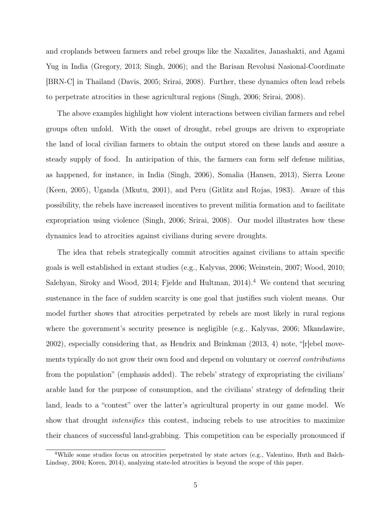and croplands between farmers and rebel groups like the Naxalites, Janashakti, and Agami Yug in India (Gregory, 2013; Singh, 2006); and the Barisan Revolusi Nasional-Coordinate [BRN-C] in Thailand (Davis, 2005; Srirai, 2008). Further, these dynamics often lead rebels to perpetrate atrocities in these agricultural regions (Singh, 2006; Srirai, 2008).

The above examples highlight how violent interactions between civilian farmers and rebel groups often unfold. With the onset of drought, rebel groups are driven to expropriate the land of local civilian farmers to obtain the output stored on these lands and assure a steady supply of food. In anticipation of this, the farmers can form self defense militias, as happened, for instance, in India (Singh, 2006), Somalia (Hansen, 2013), Sierra Leone (Keen, 2005), Uganda (Mkutu, 2001), and Peru (Gitlitz and Rojas, 1983). Aware of this possibility, the rebels have increased incentives to prevent militia formation and to facilitate expropriation using violence (Singh, 2006; Srirai, 2008). Our model illustrates how these dynamics lead to atrocities against civilians during severe droughts.

The idea that rebels strategically commit atrocities against civilians to attain specific goals is well established in extant studies (e.g., Kalyvas, 2006; Weinstein, 2007; Wood, 2010; Salehyan, Siroky and Wood, 2014; Fjelde and Hultman, 2014).<sup>4</sup> We contend that securing sustenance in the face of sudden scarcity is one goal that justifies such violent means. Our model further shows that atrocities perpetrated by rebels are most likely in rural regions where the government's security presence is negligible (e.g., Kalyvas, 2006; Mkandawire, 2002), especially considering that, as Hendrix and Brinkman (2013, 4) note, "[r]ebel movements typically do not grow their own food and depend on voluntary or *coerced contributions* from the population" (emphasis added). The rebels' strategy of expropriating the civilians' arable land for the purpose of consumption, and the civilians' strategy of defending their land, leads to a "contest" over the latter's agricultural property in our game model. We show that drought *intensifies* this contest, inducing rebels to use atrocities to maximize their chances of successful land-grabbing. This competition can be especially pronounced if

<sup>4</sup>While some studies focus on atrocities perpetrated by state actors (e.g., Valentino, Huth and Balch-Lindsay, 2004; Koren, 2014), analyzing state-led atrocities is beyond the scope of this paper.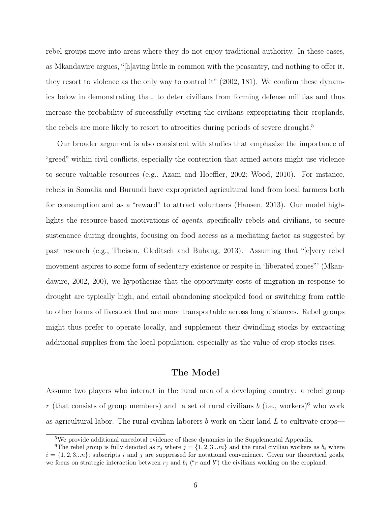rebel groups move into areas where they do not enjoy traditional authority. In these cases, as Mkandawire argues, "[h]aving little in common with the peasantry, and nothing to offer it, they resort to violence as the only way to control it" (2002, 181). We confirm these dynamics below in demonstrating that, to deter civilians from forming defense militias and thus increase the probability of successfully evicting the civilians expropriating their croplands, the rebels are more likely to resort to atrocities during periods of severe drought.<sup>5</sup>

Our broader argument is also consistent with studies that emphasize the importance of "greed" within civil conflicts, especially the contention that armed actors might use violence to secure valuable resources (e.g., Azam and Hoeffler, 2002; Wood, 2010). For instance, rebels in Somalia and Burundi have expropriated agricultural land from local farmers both for consumption and as a "reward" to attract volunteers (Hansen, 2013). Our model highlights the resource-based motivations of agents, specifically rebels and civilians, to secure sustenance during droughts, focusing on food access as a mediating factor as suggested by past research (e.g., Theisen, Gleditsch and Buhaug, 2013). Assuming that "[e]very rebel movement aspires to some form of sedentary existence or respite in 'liberated zones"' (Mkandawire, 2002, 200), we hypothesize that the opportunity costs of migration in response to drought are typically high, and entail abandoning stockpiled food or switching from cattle to other forms of livestock that are more transportable across long distances. Rebel groups might thus prefer to operate locally, and supplement their dwindling stocks by extracting additional supplies from the local population, especially as the value of crop stocks rises.

## The Model

Assume two players who interact in the rural area of a developing country: a rebel group r (that consists of group members) and a set of rural civilians b (i.e., workers)<sup>6</sup> who work as agricultural labor. The rural civilian laborers b work on their land  $L$  to cultivate crops—

<sup>5</sup>We provide additional anecdotal evidence of these dynamics in the Supplemental Appendix.

<sup>&</sup>lt;sup>6</sup>The rebel group is fully denoted as  $r_j$  where  $j = \{1, 2, 3...m\}$  and the rural civilian workers as  $b_i$  where  $i = \{1, 2, 3...n\}$ ; subscripts i and j are suppressed for notational convenience. Given our theoretical goals, we focus on strategic interaction between  $r_j$  and  $b_i$  ("r and b") the civilians working on the cropland.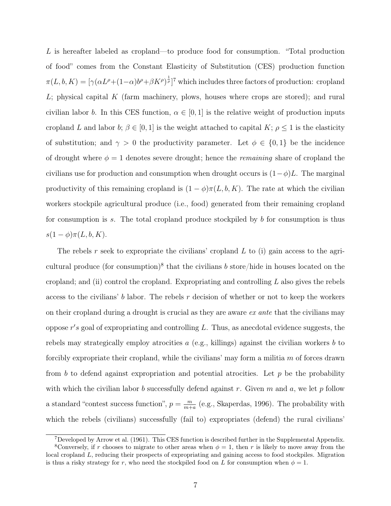L is hereafter labeled as cropland—to produce food for consumption. "Total production of food" comes from the Constant Elasticity of Substitution (CES) production function  $\pi(L, b, K) = [\gamma(\alpha L^{\rho} + (1-\alpha)b^{\rho} + \beta K^{\rho})^{\frac{1}{\rho}}]^7$  which includes three factors of production: cropland  $L$ ; physical capital K (farm machinery, plows, houses where crops are stored); and rural civilian labor b. In this CES function,  $\alpha \in [0,1]$  is the relative weight of production inputs cropland L and labor b;  $\beta \in [0, 1]$  is the weight attached to capital K;  $\rho \leq 1$  is the elasticity of substitution; and  $\gamma > 0$  the productivity parameter. Let  $\phi \in \{0, 1\}$  be the incidence of drought where  $\phi = 1$  denotes severe drought; hence the *remaining* share of cropland the civilians use for production and consumption when drought occurs is  $(1-\phi)L$ . The marginal productivity of this remaining cropland is  $(1 - \phi)\pi(L, b, K)$ . The rate at which the civilian workers stockpile agricultural produce (i.e., food) generated from their remaining cropland for consumption is s. The total cropland produce stockpiled by  $b$  for consumption is thus  $s(1-\phi)\pi(L, b, K).$ 

The rebels r seek to expropriate the civilians' cropland  $L$  to (i) gain access to the agricultural produce (for consumption)<sup>8</sup> that the civilians b store/hide in houses located on the cropland; and (ii) control the cropland. Expropriating and controlling  $L$  also gives the rebels access to the civilians' b labor. The rebels r decision of whether or not to keep the workers on their cropland during a drought is crucial as they are aware ex ante that the civilians may oppose  $r's$  goal of expropriating and controlling  $L$ . Thus, as anecdotal evidence suggests, the rebels may strategically employ atrocities  $a$  (e.g., killings) against the civilian workers  $b$  to forcibly expropriate their cropland, while the civilians' may form a militia m of forces drawn from b to defend against expropriation and potential atrocities. Let  $p$  be the probability with which the civilian labor b successfully defend against r. Given m and a, we let p follow a standard "contest success function",  $p = \frac{m}{m+1}$  $\frac{m}{m+a}$  (e.g., Skaperdas, 1996). The probability with which the rebels (civilians) successfully (fail to) expropriates (defend) the rural civilians'

<sup>7</sup>Developed by Arrow et al. (1961). This CES function is described further in the Supplemental Appendix. <sup>8</sup>Conversely, if r chooses to migrate to other areas when  $\phi = 1$ , then r is likely to move away from the local cropland L, reducing their prospects of expropriating and gaining access to food stockpiles. Migration is thus a risky strategy for r, who need the stockpiled food on L for consumption when  $\phi = 1$ .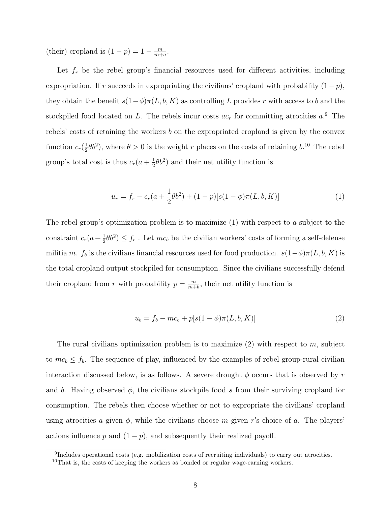(their) cropland is  $(1-p) = 1 - \frac{m}{m+1}$  $\frac{m}{m+a}$ .

Let  $f_r$  be the rebel group's financial resources used for different activities, including expropriation. If r succeeds in expropriating the civilians' cropland with probability  $(1 - p)$ , they obtain the benefit  $s(1-\phi)\pi(L, b, K)$  as controlling L provides r with access to b and the stockpiled food located on L. The rebels incur costs  $ac<sub>r</sub>$  for committing atrocities  $a<sup>9</sup>$ . The rebels' costs of retaining the workers b on the expropriated cropland is given by the convex function  $c_r(\frac{1}{2})$  $\frac{1}{2}\theta b^2$ , where  $\theta > 0$  is the weight r places on the costs of retaining  $b^{10}$ . The rebel group's total cost is thus  $c_r(a+\frac{1}{2})$  $\frac{1}{2}\theta b^2$ ) and their net utility function is

$$
u_r = f_r - c_r(a + \frac{1}{2}\theta b^2) + (1 - p)[s(1 - \phi)\pi(L, b, K)]
$$
\n(1)

The rebel group's optimization problem is to maximize  $(1)$  with respect to a subject to the constraint  $c_r(a+\frac{1}{2})$  $\frac{1}{2}\theta b^2$ )  $\leq f_r$ . Let  $mc_b$  be the civilian workers' costs of forming a self-defense militia m.  $f_b$  is the civilians financial resources used for food production.  $s(1-\phi)\pi(L, b, K)$  is the total cropland output stockpiled for consumption. Since the civilians successfully defend their cropland from r with probability  $p = \frac{m}{m+1}$  $\frac{m}{m+b}$ , their net utility function is

$$
u_b = f_b - mc_b + p[s(1 - \phi)\pi(L, b, K)]
$$
\n(2)

The rural civilians optimization problem is to maximize  $(2)$  with respect to m, subject to  $mc_b \leq f_b$ . The sequence of play, influenced by the examples of rebel group-rural civilian interaction discussed below, is as follows. A severe drought  $\phi$  occurs that is observed by r and b. Having observed  $\phi$ , the civilians stockpile food s from their surviving cropland for consumption. The rebels then choose whether or not to expropriate the civilians' cropland using atrocities a given  $\phi$ , while the civilians choose m given r's choice of a. The players' actions influence p and  $(1 - p)$ , and subsequently their realized payoff.

<sup>&</sup>lt;sup>9</sup>Includes operational costs (e.g. mobilization costs of recruiting individuals) to carry out atrocities.

<sup>&</sup>lt;sup>10</sup>That is, the costs of keeping the workers as bonded or regular wage-earning workers.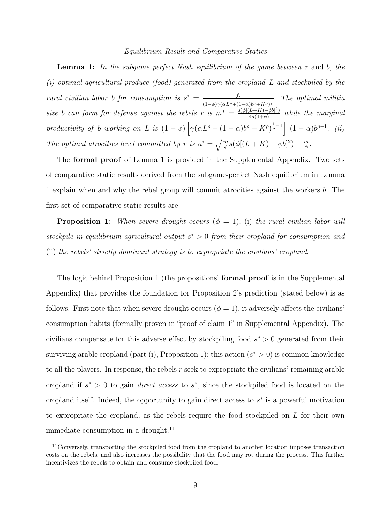#### Equilibrium Result and Comparative Statics

**Lemma 1:** In the subgame perfect Nash equilibrium of the game between  $r$  and  $b$ , the (i) optimal agricultural produce (food) generated from the cropland L and stockpiled by the *rural civilian labor b for consumption is*  $s^* = \frac{f_r}{f}$  $\frac{dr}{(1-\phi)\gamma(\alpha L^{\rho}+(1-\alpha)b^{\rho}+K^{\rho})^{\frac{1}{\rho}}}$ . The optimal militia size b can form for defense against the rebels r is  $m^* = \frac{s(\phi[(L+K)-\phi b]^2)}{4\phi(1+\phi)}$  $\frac{L+K(-\phi b)^{-}}{4a(1+\phi)}$  while the marginal productivity of b working on L is  $(1 - \phi) \left[ \gamma (\alpha L^{\rho} + (1 - \alpha) b^{\rho} + K^{\rho})^{\frac{1}{\rho} - 1} \right] (1 - \alpha) b^{\rho - 1}$ . (ii) The optimal atrocities level committed by r is  $a^* = \sqrt{\frac{m}{\phi}} s(\phi[(L+K) - \phi b]^2) - \frac{m}{\phi}$  $\frac{m}{\phi}$  .

The **formal proof** of Lemma 1 is provided in the Supplemental Appendix. Two sets of comparative static results derived from the subgame-perfect Nash equilibrium in Lemma 1 explain when and why the rebel group will commit atrocities against the workers b. The first set of comparative static results are

**Proposition 1:** When severe drought occurs  $(\phi = 1)$ , (i) the rural civilian labor will stockpile in equilibrium agricultural output  $s^* > 0$  from their cropland for consumption and (ii) the rebels' strictly dominant strategy is to expropriate the civilians' cropland.

The logic behind Proposition 1 (the propositions' **formal proof** is in the Supplemental Appendix) that provides the foundation for Proposition 2's prediction (stated below) is as follows. First note that when severe drought occurs ( $\phi = 1$ ), it adversely affects the civilians' consumption habits (formally proven in "proof of claim 1" in Supplemental Appendix). The civilians compensate for this adverse effect by stockpiling food  $s^* > 0$  generated from their surviving arable cropland (part (i), Proposition 1); this action  $(s^* > 0)$  is common knowledge to all the players. In response, the rebels  $r$  seek to expropriate the civilians' remaining arable cropland if  $s^* > 0$  to gain *direct access* to  $s^*$ , since the stockpiled food is located on the cropland itself. Indeed, the opportunity to gain direct access to  $s^*$  is a powerful motivation to expropriate the cropland, as the rebels require the food stockpiled on L for their own immediate consumption in a drought. $^{11}$ 

<sup>&</sup>lt;sup>11</sup>Conversely, transporting the stockpiled food from the cropland to another location imposes transaction costs on the rebels, and also increases the possibility that the food may rot during the process. This further incentivizes the rebels to obtain and consume stockpiled food.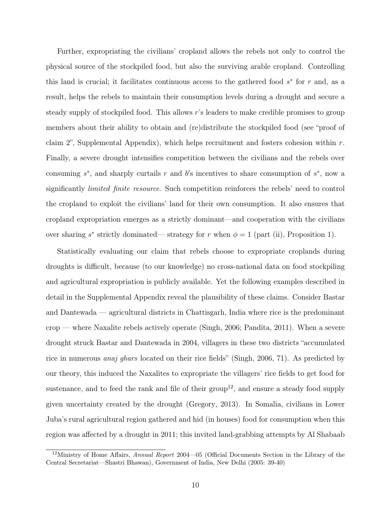Further, expropriating the civilians' cropland allows the rebels not only to control the physical source of the stockpiled food, but also the surviving arable cropland. Controlling this land is crucial; it facilitates continuous access to the gathered food  $s^*$  for r and, as a result, helps the rebels to maintain their consumption levels during a drought and secure a steady supply of stockpiled food. This allows r's leaders to make credible promises to group members about their ability to obtain and (re)distribute the stockpiled food (see "proof of claim 2", Supplemental Appendix), which helps recruitment and fosters cohesion within  $r$ . Finally, a severe drought intensifies competition between the civilians and the rebels over consuming  $s^*$ , and sharply curtails r and b's incentives to share consumption of  $s^*$ , now a significantly *limited finite resource*. Such competition reinforces the rebels' need to control the cropland to exploit the civilians' land for their own consumption. It also ensures that cropland expropriation emerges as a strictly dominant—and cooperation with the civilians over sharing  $s^*$  strictly dominated— strategy for r when  $\phi = 1$  (part (ii), Proposition 1).

Statistically evaluating our claim that rebels choose to expropriate croplands during droughts is difficult, because (to our knowledge) no cross-national data on food stockpiling and agricultural expropriation is publicly available. Yet the following examples described in detail in the Supplemental Appendix reveal the plausibility of these claims. Consider Bastar and Dantewada — agricultural districts in Chattisgarh, India where rice is the predominant crop — where Naxalite rebels actively operate (Singh, 2006; Pandita, 2011). When a severe drought struck Bastar and Dantewada in 2004, villagers in these two districts "accumulated rice in numerous anaj ghars located on their rice fields" (Singh, 2006, 71). As predicted by our theory, this induced the Naxalites to expropriate the villagers' rice fields to get food for sustenance, and to feed the rank and file of their group<sup>12</sup>, and ensure a steady food supply given uncertainty created by the drought (Gregory, 2013). In Somalia, civilians in Lower Juba's rural agricultural region gathered and hid (in houses) food for consumption when this region was affected by a drought in 2011; this invited land-grabbing attempts by Al Shabaab

<sup>&</sup>lt;sup>12</sup>Ministry of Home Affairs, Annual Report 2004—05 (Official Documents Section in the Library of the Central Secretariat—Shastri Bhawan), Government of India, New Delhi (2005: 39-40)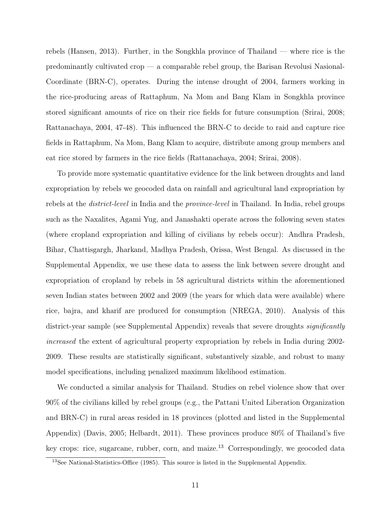rebels (Hansen, 2013). Further, in the Songkhla province of Thailand — where rice is the predominantly cultivated crop — a comparable rebel group, the Barisan Revolusi Nasional-Coordinate (BRN-C), operates. During the intense drought of 2004, farmers working in the rice-producing areas of Rattaphum, Na Mom and Bang Klam in Songkhla province stored significant amounts of rice on their rice fields for future consumption (Srirai, 2008; Rattanachaya, 2004, 47-48). This influenced the BRN-C to decide to raid and capture rice fields in Rattaphum, Na Mom, Bang Klam to acquire, distribute among group members and eat rice stored by farmers in the rice fields (Rattanachaya, 2004; Srirai, 2008).

To provide more systematic quantitative evidence for the link between droughts and land expropriation by rebels we geocoded data on rainfall and agricultural land expropriation by rebels at the district-level in India and the province-level in Thailand. In India, rebel groups such as the Naxalites, Agami Yug, and Janashakti operate across the following seven states (where cropland expropriation and killing of civilians by rebels occur): Andhra Pradesh, Bihar, Chattisgargh, Jharkand, Madhya Pradesh, Orissa, West Bengal. As discussed in the Supplemental Appendix, we use these data to assess the link between severe drought and expropriation of cropland by rebels in 58 agricultural districts within the aforementioned seven Indian states between 2002 and 2009 (the years for which data were available) where rice, bajra, and kharif are produced for consumption (NREGA, 2010). Analysis of this district-year sample (see Supplemental Appendix) reveals that severe droughts *significantly* increased the extent of agricultural property expropriation by rebels in India during 2002- 2009. These results are statistically significant, substantively sizable, and robust to many model specifications, including penalized maximum likelihood estimation.

We conducted a similar analysis for Thailand. Studies on rebel violence show that over 90% of the civilians killed by rebel groups (e.g., the Pattani United Liberation Organization and BRN-C) in rural areas resided in 18 provinces (plotted and listed in the Supplemental Appendix) (Davis, 2005; Helbardt, 2011). These provinces produce 80% of Thailand's five key crops: rice, sugarcane, rubber, corn, and maize.<sup>13</sup> Correspondingly, we geocoded data

<sup>13</sup>See National-Statistics-Office (1985). This source is listed in the Supplemental Appendix.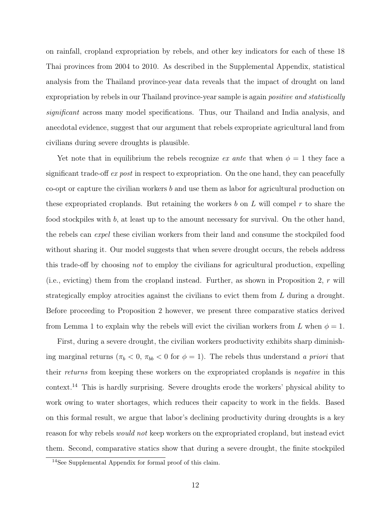on rainfall, cropland expropriation by rebels, and other key indicators for each of these 18 Thai provinces from 2004 to 2010. As described in the Supplemental Appendix, statistical analysis from the Thailand province-year data reveals that the impact of drought on land expropriation by rebels in our Thailand province-year sample is again *positive and statistically* significant across many model specifications. Thus, our Thailand and India analysis, and anecdotal evidence, suggest that our argument that rebels expropriate agricultural land from civilians during severe droughts is plausible.

Yet note that in equilibrium the rebels recognize ex ante that when  $\phi = 1$  they face a significant trade-off  $\acute{e}x$  post in respect to expropriation. On the one hand, they can peacefully co-opt or capture the civilian workers b and use them as labor for agricultural production on these expropriated croplands. But retaining the workers b on L will compel r to share the food stockpiles with b, at least up to the amount necessary for survival. On the other hand, the rebels can expel these civilian workers from their land and consume the stockpiled food without sharing it. Our model suggests that when severe drought occurs, the rebels address this trade-off by choosing not to employ the civilians for agricultural production, expelling (i.e., evicting) them from the cropland instead. Further, as shown in Proposition 2, r will strategically employ atrocities against the civilians to evict them from L during a drought. Before proceeding to Proposition 2 however, we present three comparative statics derived from Lemma 1 to explain why the rebels will evict the civilian workers from L when  $\phi = 1$ .

First, during a severe drought, the civilian workers productivity exhibits sharp diminishing marginal returns ( $\pi_b < 0$ ,  $\pi_{bb} < 0$  for  $\phi = 1$ ). The rebels thus understand a priori that their returns from keeping these workers on the expropriated croplands is negative in this context.<sup>14</sup> This is hardly surprising. Severe droughts erode the workers' physical ability to work owing to water shortages, which reduces their capacity to work in the fields. Based on this formal result, we argue that labor's declining productivity during droughts is a key reason for why rebels *would not* keep workers on the expropriated cropland, but instead evict them. Second, comparative statics show that during a severe drought, the finite stockpiled

<sup>14</sup>See Supplemental Appendix for formal proof of this claim.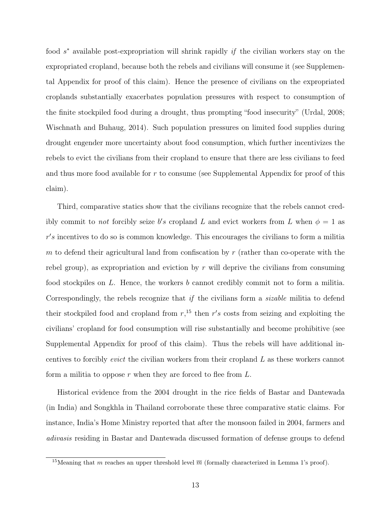food s<sup>\*</sup> available post-expropriation will shrink rapidly if the civilian workers stay on the expropriated cropland, because both the rebels and civilians will consume it (see Supplemental Appendix for proof of this claim). Hence the presence of civilians on the expropriated croplands substantially exacerbates population pressures with respect to consumption of the finite stockpiled food during a drought, thus prompting "food insecurity" (Urdal, 2008; Wischnath and Buhaug, 2014). Such population pressures on limited food supplies during drought engender more uncertainty about food consumption, which further incentivizes the rebels to evict the civilians from their cropland to ensure that there are less civilians to feed and thus more food available for r to consume (see Supplemental Appendix for proof of this claim).

Third, comparative statics show that the civilians recognize that the rebels cannot credibly commit to *not* forcibly seize b's cropland L and evict workers from L when  $\phi = 1$  as  $r's$  incentives to do so is common knowledge. This encourages the civilians to form a militia m to defend their agricultural land from confiscation by  $r$  (rather than co-operate with the rebel group), as expropriation and eviction by  $r$  will deprive the civilians from consuming food stockpiles on L. Hence, the workers b cannot credibly commit not to form a militia. Correspondingly, the rebels recognize that  $if$  the civilians form a *sizable* militia to defend their stockpiled food and cropland from  $r<sup>15</sup>$ , then r's costs from seizing and exploiting the civilians' cropland for food consumption will rise substantially and become prohibitive (see Supplemental Appendix for proof of this claim). Thus the rebels will have additional incentives to forcibly evict the civilian workers from their cropland L as these workers cannot form a militia to oppose r when they are forced to flee from  $L$ .

Historical evidence from the 2004 drought in the rice fields of Bastar and Dantewada (in India) and Songkhla in Thailand corroborate these three comparative static claims. For instance, India's Home Ministry reported that after the monsoon failed in 2004, farmers and adivasis residing in Bastar and Dantewada discussed formation of defense groups to defend

<sup>&</sup>lt;sup>15</sup>Meaning that m reaches an upper threshold level  $\overline{m}$  (formally characterized in Lemma 1's proof).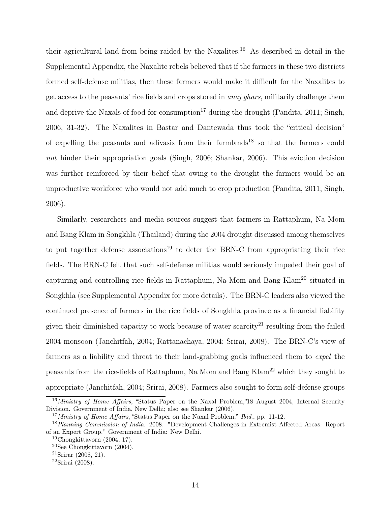their agricultural land from being raided by the Naxalites.<sup>16</sup> As described in detail in the Supplemental Appendix, the Naxalite rebels believed that if the farmers in these two districts formed self-defense militias, then these farmers would make it difficult for the Naxalites to get access to the peasants' rice fields and crops stored in anaj ghars, militarily challenge them and deprive the Naxals of food for consumption<sup>17</sup> during the drought (Pandita, 2011; Singh, 2006, 31-32). The Naxalites in Bastar and Dantewada thus took the "critical decision" of expelling the peasants and adivasis from their farmlands<sup>18</sup> so that the farmers could not hinder their appropriation goals (Singh, 2006; Shankar, 2006). This eviction decision was further reinforced by their belief that owing to the drought the farmers would be an unproductive workforce who would not add much to crop production (Pandita, 2011; Singh, 2006).

Similarly, researchers and media sources suggest that farmers in Rattaphum, Na Mom and Bang Klam in Songkhla (Thailand) during the 2004 drought discussed among themselves to put together defense associations<sup>19</sup> to deter the BRN-C from appropriating their rice fields. The BRN-C felt that such self-defense militias would seriously impeded their goal of capturing and controlling rice fields in Rattaphum, Na Mom and Bang Klam<sup>20</sup> situated in Songkhla (see Supplemental Appendix for more details). The BRN-C leaders also viewed the continued presence of farmers in the rice fields of Songkhla province as a financial liability given their diminished capacity to work because of water scarcity<sup>21</sup> resulting from the failed 2004 monsoon (Janchitfah, 2004; Rattanachaya, 2004; Srirai, 2008). The BRN-C's view of farmers as a liability and threat to their land-grabbing goals influenced them to expel the peasants from the rice-fields of Rattaphum, Na Mom and Bang Klam<sup>22</sup> which they sought to appropriate (Janchitfah, 2004; Srirai, 2008). Farmers also sought to form self-defense groups

<sup>&</sup>lt;sup>16</sup>Ministry of Home Affairs, "Status Paper on the Naxal Problem,"18 August 2004, Internal Security Division. Government of India, New Delhi; also see Shankar (2006).

<sup>&</sup>lt;sup>17</sup> Ministry of Home Affairs, "Status Paper on the Naxal Problem," Ibid., pp. 11-12.

<sup>&</sup>lt;sup>18</sup> Planning Commission of India. 2008. "Development Challenges in Extremist Affected Areas: Report of an Expert Group." Government of India: New Delhi.

 $19$ Chongkittavorn (2004, 17).

<sup>20</sup>See Chongkittavorn (2004).

 $21$ Srirar (2008, 21).

<sup>22</sup>Srirai (2008).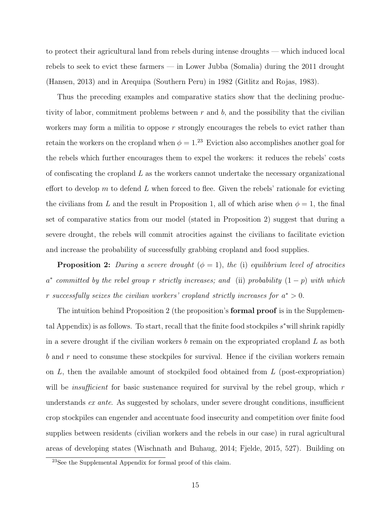to protect their agricultural land from rebels during intense droughts — which induced local rebels to seek to evict these farmers — in Lower Jubba (Somalia) during the 2011 drought (Hansen, 2013) and in Arequipa (Southern Peru) in 1982 (Gitlitz and Rojas, 1983).

Thus the preceding examples and comparative statics show that the declining productivity of labor, commitment problems between  $r$  and  $b$ , and the possibility that the civilian workers may form a militia to oppose  $r$  strongly encourages the rebels to evict rather than retain the workers on the cropland when  $\phi = 1.^{23}$  Eviction also accomplishes another goal for the rebels which further encourages them to expel the workers: it reduces the rebels' costs of confiscating the cropland  $L$  as the workers cannot undertake the necessary organizational effort to develop  $m$  to defend  $L$  when forced to flee. Given the rebels' rationale for evicting the civilians from L and the result in Proposition 1, all of which arise when  $\phi = 1$ , the final set of comparative statics from our model (stated in Proposition 2) suggest that during a severe drought, the rebels will commit atrocities against the civilians to facilitate eviction and increase the probability of successfully grabbing cropland and food supplies.

**Proposition 2:** During a severe drought  $(\phi = 1)$ , the (i) equilibrium level of atrocities  $a^*$  committed by the rebel group r strictly increases; and (ii) probability  $(1-p)$  with which r successfully seizes the civilian workers' cropland strictly increases for  $a^* > 0$ .

The intuition behind Proposition 2 (the proposition's **formal proof** is in the Supplemental Appendix) is as follows. To start, recall that the finite food stockpiles s\*will shrink rapidly in a severe drought if the civilian workers b remain on the expropriated cropland  $L$  as both  $b$  and  $r$  need to consume these stockpiles for survival. Hence if the civilian workers remain on  $L$ , then the available amount of stockpiled food obtained from  $L$  (post-expropriation) will be *insufficient* for basic sustenance required for survival by the rebel group, which r understands ex ante. As suggested by scholars, under severe drought conditions, insufficient crop stockpiles can engender and accentuate food insecurity and competition over finite food supplies between residents (civilian workers and the rebels in our case) in rural agricultural areas of developing states (Wischnath and Buhaug, 2014; Fjelde, 2015, 527). Building on

<sup>23</sup>See the Supplemental Appendix for formal proof of this claim.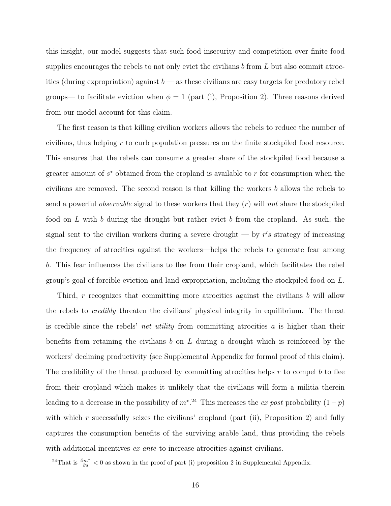this insight, our model suggests that such food insecurity and competition over finite food supplies encourages the rebels to not only evict the civilians  $b$  from  $L$  but also commit atrocities (during expropriation) against  $b$  — as these civilians are easy targets for predatory rebel groups— to facilitate eviction when  $\phi = 1$  (part (i), Proposition 2). Three reasons derived from our model account for this claim.

The first reason is that killing civilian workers allows the rebels to reduce the number of civilians, thus helping r to curb population pressures on the finite stockpiled food resource. This ensures that the rebels can consume a greater share of the stockpiled food because a greater amount of  $s^*$  obtained from the cropland is available to  $r$  for consumption when the civilians are removed. The second reason is that killing the workers b allows the rebels to send a powerful *observable* signal to these workers that they  $(r)$  will not share the stockpiled food on  $L$  with b during the drought but rather evict b from the cropland. As such, the signal sent to the civilian workers during a severe drought — by  $r's$  strategy of increasing the frequency of atrocities against the workers—helps the rebels to generate fear among b. This fear influences the civilians to flee from their cropland, which facilitates the rebel group's goal of forcible eviction and land expropriation, including the stockpiled food on L.

Third, r recognizes that committing more atrocities against the civilians b will allow the rebels to credibly threaten the civilians' physical integrity in equilibrium. The threat is credible since the rebels' net utility from committing atrocities  $a$  is higher than their benefits from retaining the civilians  $b$  on  $L$  during a drought which is reinforced by the workers' declining productivity (see Supplemental Appendix for formal proof of this claim). The credibility of the threat produced by committing atrocities helps  $r$  to compel  $b$  to flee from their cropland which makes it unlikely that the civilians will form a militia therein leading to a decrease in the possibility of  $m^*$ <sup>24</sup>. This increases the *ex post* probability  $(1-p)$ with which r successfully seizes the civilians' cropland (part (ii), Proposition 2) and fully captures the consumption benefits of the surviving arable land, thus providing the rebels with additional incentives  $ex$  ante to increase atrocities against civilians.

<sup>&</sup>lt;sup>24</sup>That is  $\frac{\partial m^*}{\partial a} < 0$  as shown in the proof of part (i) proposition 2 in Supplemental Appendix.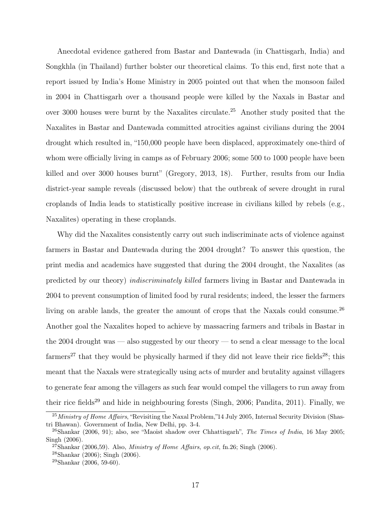Anecdotal evidence gathered from Bastar and Dantewada (in Chattisgarh, India) and Songkhla (in Thailand) further bolster our theoretical claims. To this end, first note that a report issued by India's Home Ministry in 2005 pointed out that when the monsoon failed in 2004 in Chattisgarh over a thousand people were killed by the Naxals in Bastar and over 3000 houses were burnt by the Naxalites circulate.<sup>25</sup> Another study posited that the Naxalites in Bastar and Dantewada committed atrocities against civilians during the 2004 drought which resulted in, "150,000 people have been displaced, approximately one-third of whom were officially living in camps as of February 2006; some 500 to 1000 people have been killed and over 3000 houses burnt" (Gregory, 2013, 18). Further, results from our India district-year sample reveals (discussed below) that the outbreak of severe drought in rural croplands of India leads to statistically positive increase in civilians killed by rebels (e.g., Naxalites) operating in these croplands.

Why did the Naxalites consistently carry out such indiscriminate acts of violence against farmers in Bastar and Dantewada during the 2004 drought? To answer this question, the print media and academics have suggested that during the 2004 drought, the Naxalites (as predicted by our theory) indiscriminately killed farmers living in Bastar and Dantewada in 2004 to prevent consumption of limited food by rural residents; indeed, the lesser the farmers living on arable lands, the greater the amount of crops that the Naxals could consume.<sup>26</sup> Another goal the Naxalites hoped to achieve by massacring farmers and tribals in Bastar in the 2004 drought was  $-$  also suggested by our theory  $-$  to send a clear message to the local farmers<sup>27</sup> that they would be physically harmed if they did not leave their rice fields<sup>28</sup>; this meant that the Naxals were strategically using acts of murder and brutality against villagers to generate fear among the villagers as such fear would compel the villagers to run away from their rice fields<sup>29</sup> and hide in neighbouring forests (Singh, 2006; Pandita, 2011). Finally, we

<sup>&</sup>lt;sup>25</sup> Ministry of Home Affairs, "Revisiting the Naxal Problem,"14 July 2005, Internal Security Division (Shastri Bhawan). Government of India, New Delhi, pp. 3-4.

 $^{26}$ Shankar (2006, 91); also, see "Maoist shadow over Chhattisgarh", The Times of India, 16 May 2005; Singh (2006).

<sup>&</sup>lt;sup>27</sup>Shankar (2006,59). Also, *Ministry of Home Affairs, op.cit,* fn.26; Singh (2006).

<sup>28</sup>Shankar (2006); Singh (2006).

<sup>29</sup>Shankar (2006, 59-60).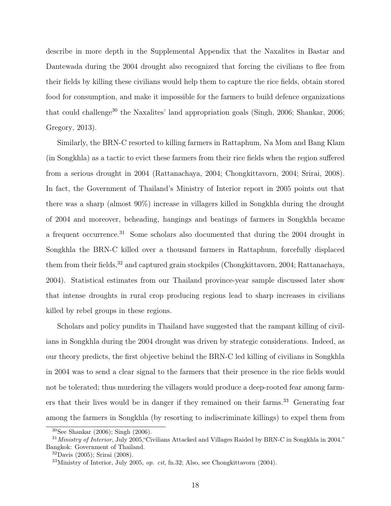describe in more depth in the Supplemental Appendix that the Naxalites in Bastar and Dantewada during the 2004 drought also recognized that forcing the civilians to flee from their fields by killing these civilians would help them to capture the rice fields, obtain stored food for consumption, and make it impossible for the farmers to build defence organizations that could challenge<sup>30</sup> the Naxalites' land appropriation goals (Singh, 2006; Shankar, 2006; Gregory, 2013).

Similarly, the BRN-C resorted to killing farmers in Rattaphum, Na Mom and Bang Klam (in Songkhla) as a tactic to evict these farmers from their rice fields when the region suffered from a serious drought in 2004 (Rattanachaya, 2004; Chongkittavorn, 2004; Srirai, 2008). In fact, the Government of Thailand's Ministry of Interior report in 2005 points out that there was a sharp (almost 90%) increase in villagers killed in Songkhla during the drought of 2004 and moreover, beheading, hangings and beatings of farmers in Songkhla became a frequent occurrence.<sup>31</sup> Some scholars also documented that during the 2004 drought in Songkhla the BRN-C killed over a thousand farmers in Rattaphum, forcefully displaced them from their fields,<sup>32</sup> and captured grain stockpiles (Chongkittavorn, 2004; Rattanachaya, 2004). Statistical estimates from our Thailand province-year sample discussed later show that intense droughts in rural crop producing regions lead to sharp increases in civilians killed by rebel groups in these regions.

Scholars and policy pundits in Thailand have suggested that the rampant killing of civilians in Songkhla during the 2004 drought was driven by strategic considerations. Indeed, as our theory predicts, the first objective behind the BRN-C led killing of civilians in Songkhla in 2004 was to send a clear signal to the farmers that their presence in the rice fields would not be tolerated; thus murdering the villagers would produce a deep-rooted fear among farmers that their lives would be in danger if they remained on their farms.<sup>33</sup> Generating fear among the farmers in Songkhla (by resorting to indiscriminate killings) to expel them from

<sup>30</sup>See Shankar (2006); Singh (2006).

 $31$  Ministry of Interior, July 2005, "Civilians Attacked and Villages Raided by BRN-C in Songkhla in 2004." Bangkok: Government of Thailand.

 $32$ Davis (2005); Srirai (2008).

 $33$ Ministry of Interior, July 2005, op. cit, fn.32; Also, see Chongkittavorn (2004).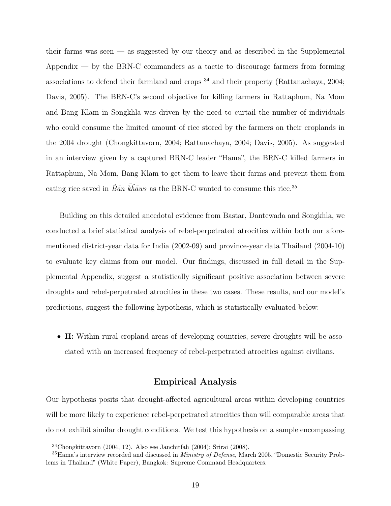their farms was seen — as suggested by our theory and as described in the Supplemental Appendix — by the BRN-C commanders as a tactic to discourage farmers from forming associations to defend their farmland and crops <sup>34</sup> and their property (Rattanachaya, 2004; Davis, 2005). The BRN-C's second objective for killing farmers in Rattaphum, Na Mom and Bang Klam in Songkhla was driven by the need to curtail the number of individuals who could consume the limited amount of rice stored by the farmers on their croplands in the 2004 drought (Chongkittavorn, 2004; Rattanachaya, 2004; Davis, 2005). As suggested in an interview given by a captured BRN-C leader "Hama", the BRN-C killed farmers in Rattaphum, Na Mom, Bang Klam to get them to leave their farms and prevent them from eating rice saved in  $\hat{B}\bar{a}n \ \hat{k}\hat{h}\bar{a}$  as the BRN-C wanted to consume this rice.<sup>35</sup>

Building on this detailed anecdotal evidence from Bastar, Dantewada and Songkhla, we conducted a brief statistical analysis of rebel-perpetrated atrocities within both our aforementioned district-year data for India (2002-09) and province-year data Thailand (2004-10) to evaluate key claims from our model. Our findings, discussed in full detail in the Supplemental Appendix, suggest a statistically significant positive association between severe droughts and rebel-perpetrated atrocities in these two cases. These results, and our model's predictions, suggest the following hypothesis, which is statistically evaluated below:

• **H**: Within rural cropland areas of developing countries, severe droughts will be associated with an increased frequency of rebel-perpetrated atrocities against civilians.

## Empirical Analysis

Our hypothesis posits that drought-affected agricultural areas within developing countries will be more likely to experience rebel-perpetrated atrocities than will comparable areas that do not exhibit similar drought conditions. We test this hypothesis on a sample encompassing

<sup>34</sup>Chongkittavorn (2004, 12). Also see Janchitfah (2004); Srirai (2008).

<sup>&</sup>lt;sup>35</sup>Hama's interview recorded and discussed in *Ministry of Defense*, March 2005, "Domestic Security Problems in Thailand" (White Paper), Bangkok: Supreme Command Headquarters.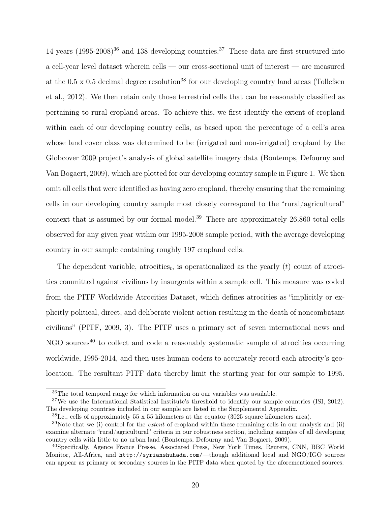14 years  $(1995-2008)^{36}$  and 138 developing countries.<sup>37</sup> These data are first structured into a cell-year level dataset wherein cells — our cross-sectional unit of interest — are measured at the  $0.5 \times 0.5$  decimal degree resolution<sup>38</sup> for our developing country land areas (Tollefsen et al., 2012). We then retain only those terrestrial cells that can be reasonably classified as pertaining to rural cropland areas. To achieve this, we first identify the extent of cropland within each of our developing country cells, as based upon the percentage of a cell's area whose land cover class was determined to be (irrigated and non-irrigated) cropland by the Globcover 2009 project's analysis of global satellite imagery data (Bontemps, Defourny and Van Bogaert, 2009), which are plotted for our developing country sample in Figure 1. We then omit all cells that were identified as having zero cropland, thereby ensuring that the remaining cells in our developing country sample most closely correspond to the "rural/agricultural" context that is assumed by our formal model. $39$  There are approximately 26,860 total cells observed for any given year within our 1995-2008 sample period, with the average developing country in our sample containing roughly 197 cropland cells.

The dependent variable, atrocities<sub>t</sub>, is operationalized as the yearly  $(t)$  count of atrocities committed against civilians by insurgents within a sample cell. This measure was coded from the PITF Worldwide Atrocities Dataset, which defines atrocities as "implicitly or explicitly political, direct, and deliberate violent action resulting in the death of noncombatant civilians" (PITF, 2009, 3). The PITF uses a primary set of seven international news and NGO sources<sup>40</sup> to collect and code a reasonably systematic sample of atrocities occurring worldwide, 1995-2014, and then uses human coders to accurately record each atrocity's geolocation. The resultant PITF data thereby limit the starting year for our sample to 1995.

<sup>36</sup>The total temporal range for which information on our variables was available.

<sup>&</sup>lt;sup>37</sup>We use the International Statistical Institute's threshold to identify our sample countries (ISI, 2012). The developing countries included in our sample are listed in the Supplemental Appendix.

 $38$ I.e., cells of approximately 55 x 55 kilometers at the equator (3025 square kilometers area).

 $39$ Note that we (i) control for the *extent* of cropland within these remaining cells in our analysis and (ii) examine alternate "rural/agricultural" criteria in our robustness section, including samples of all developing country cells with little to no urban land (Bontemps, Defourny and Van Bogaert, 2009).

<sup>40</sup>Specifically, Agence France Presse, Associated Press, New York Times, Reuters, CNN, BBC World Monitor, All-Africa, and http://syrianshuhada.com/—though additional local and NGO/IGO sources can appear as primary or secondary sources in the PITF data when quoted by the aforementioned sources.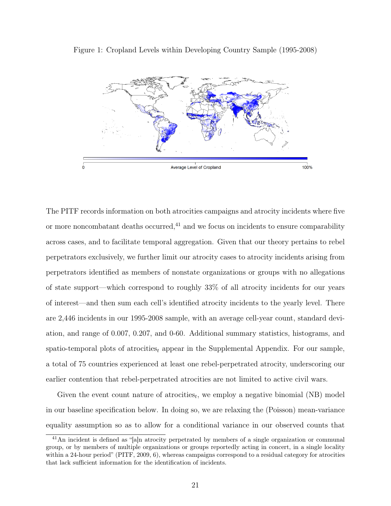

Figure 1: Cropland Levels within Developing Country Sample (1995-2008)

The PITF records information on both atrocities campaigns and atrocity incidents where five or more noncombatant deaths occurred, $^{41}$  and we focus on incidents to ensure comparability across cases, and to facilitate temporal aggregation. Given that our theory pertains to rebel perpetrators exclusively, we further limit our atrocity cases to atrocity incidents arising from perpetrators identified as members of nonstate organizations or groups with no allegations of state support—which correspond to roughly 33% of all atrocity incidents for our years of interest—and then sum each cell's identified atrocity incidents to the yearly level. There are 2,446 incidents in our 1995-2008 sample, with an average cell-year count, standard deviation, and range of 0.007, 0.207, and 0-60. Additional summary statistics, histograms, and spatio-temporal plots of atrocities<sub>t</sub> appear in the Supplemental Appendix. For our sample, a total of 75 countries experienced at least one rebel-perpetrated atrocity, underscoring our earlier contention that rebel-perpetrated atrocities are not limited to active civil wars.

Given the event count nature of atrocities<sub>t</sub>, we employ a negative binomial  $(NB)$  model in our baseline specification below. In doing so, we are relaxing the (Poisson) mean-variance equality assumption so as to allow for a conditional variance in our observed counts that

<sup>&</sup>lt;sup>41</sup>An incident is defined as "[a]n atrocity perpetrated by members of a single organization or communal group, or by members of multiple organizations or groups reportedly acting in concert, in a single locality within a 24-hour period" (PITF, 2009, 6), whereas campaigns correspond to a residual category for atrocities that lack sufficient information for the identification of incidents.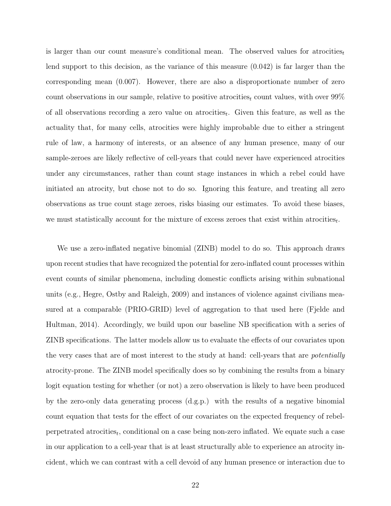is larger than our count measure's conditional mean. The observed values for atrocities<sub>t</sub> lend support to this decision, as the variance of this measure (0.042) is far larger than the corresponding mean (0.007). However, there are also a disproportionate number of zero count observations in our sample, relative to positive atrocities<sub>t</sub> count values, with over  $99\%$ of all observations recording a zero value on atrocities<sub>t</sub>. Given this feature, as well as the actuality that, for many cells, atrocities were highly improbable due to either a stringent rule of law, a harmony of interests, or an absence of any human presence, many of our sample-zeroes are likely reflective of cell-years that could never have experienced atrocities under any circumstances, rather than count stage instances in which a rebel could have initiated an atrocity, but chose not to do so. Ignoring this feature, and treating all zero observations as true count stage zeroes, risks biasing our estimates. To avoid these biases, we must statistically account for the mixture of excess zeroes that exist within atrocities $_t$ .

We use a zero-inflated negative binomial (ZINB) model to do so. This approach draws upon recent studies that have recognized the potential for zero-inflated count processes within event counts of similar phenomena, including domestic conflicts arising within subnational units (e.g., Hegre, Ostby and Raleigh, 2009) and instances of violence against civilians measured at a comparable (PRIO-GRID) level of aggregation to that used here (Fjelde and Hultman, 2014). Accordingly, we build upon our baseline NB specification with a series of ZINB specifications. The latter models allow us to evaluate the effects of our covariates upon the very cases that are of most interest to the study at hand: cell-years that are potentially atrocity-prone. The ZINB model specifically does so by combining the results from a binary logit equation testing for whether (or not) a zero observation is likely to have been produced by the zero-only data generating process (d.g.p.) with the results of a negative binomial count equation that tests for the effect of our covariates on the expected frequency of rebelperpetrated atrocities<sub>t</sub>, conditional on a case being non-zero inflated. We equate such a case in our application to a cell-year that is at least structurally able to experience an atrocity incident, which we can contrast with a cell devoid of any human presence or interaction due to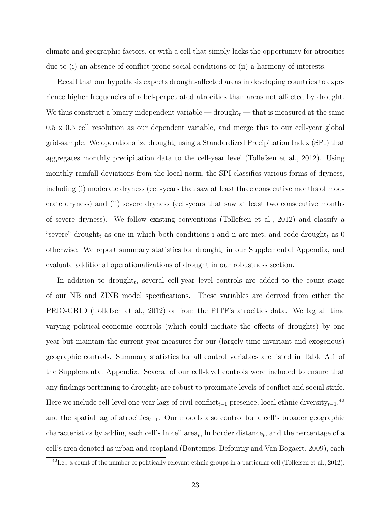climate and geographic factors, or with a cell that simply lacks the opportunity for atrocities due to (i) an absence of conflict-prone social conditions or (ii) a harmony of interests.

Recall that our hypothesis expects drought-affected areas in developing countries to experience higher frequencies of rebel-perpetrated atrocities than areas not affected by drought. We thus construct a binary independent variable — drought $_t$  — that is measured at the same 0.5 x 0.5 cell resolution as our dependent variable, and merge this to our cell-year global grid-sample. We operationalize drought<sub>t</sub> using a Standardized Precipitation Index (SPI) that aggregates monthly precipitation data to the cell-year level (Tollefsen et al., 2012). Using monthly rainfall deviations from the local norm, the SPI classifies various forms of dryness, including (i) moderate dryness (cell-years that saw at least three consecutive months of moderate dryness) and (ii) severe dryness (cell-years that saw at least two consecutive months of severe dryness). We follow existing conventions (Tollefsen et al., 2012) and classify a "severe" drought<sub>t</sub> as one in which both conditions i and ii are met, and code drought<sub>t</sub> as 0 otherwise. We report summary statistics for drought<sub>t</sub> in our Supplemental Appendix, and evaluate additional operationalizations of drought in our robustness section.

In addition to drought<sub>t</sub>, several cell-year level controls are added to the count stage of our NB and ZINB model specifications. These variables are derived from either the PRIO-GRID (Tollefsen et al., 2012) or from the PITF's atrocities data. We lag all time varying political-economic controls (which could mediate the effects of droughts) by one year but maintain the current-year measures for our (largely time invariant and exogenous) geographic controls. Summary statistics for all control variables are listed in Table A.1 of the Supplemental Appendix. Several of our cell-level controls were included to ensure that any findings pertaining to drought, are robust to proximate levels of conflict and social strife. Here we include cell-level one year lags of civil conflict<sub>t−1</sub> presence, local ethnic diversity<sub>t−1</sub>,<sup>42</sup> and the spatial lag of atrocities<sub>t−1</sub>. Our models also control for a cell's broader geographic characteristics by adding each cell's ln cell area<sub>t</sub>, ln border distance<sub>t</sub>, and the percentage of a cell's area denoted as urban and cropland (Bontemps, Defourny and Van Bogaert, 2009), each

<sup>42</sup>I.e., a count of the number of politically relevant ethnic groups in a particular cell (Tollefsen et al., 2012).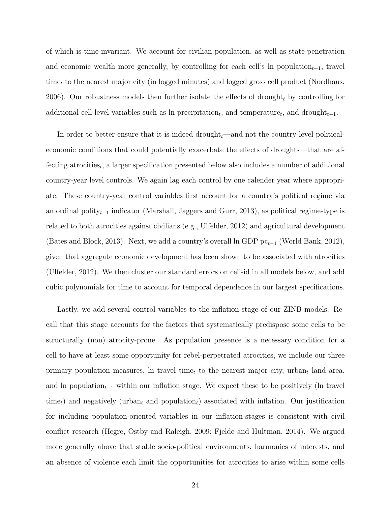of which is time-invariant. We account for civilian population, as well as state-penetration and economic wealth more generally, by controlling for each cell's ln population<sub>t−1</sub>, travel time<sub>t</sub> to the nearest major city (in logged minutes) and logged gross cell product (Nordhaus, 2006). Our robustness models then further isolate the effects of drought<sub>t</sub> by controlling for additional cell-level variables such as ln precipitation<sub>t</sub>, and temperature<sub>t</sub>, and drought<sub>t-1</sub>.

In order to better ensure that it is indeed drought $_t$ —and not the country-level politicaleconomic conditions that could potentially exacerbate the effects of droughts—that are affecting atrocities<sub>t</sub>, a larger specification presented below also includes a number of additional country-year level controls. We again lag each control by one calender year where appropriate. These country-year control variables first account for a country's political regime via an ordinal polity<sub>t−1</sub> indicator (Marshall, Jaggers and Gurr, 2013), as political regime-type is related to both atrocities against civilians (e.g., Ulfelder, 2012) and agricultural development (Bates and Block, 2013). Next, we add a country's overall ln GDP  $pc_{t-1}$  (World Bank, 2012), given that aggregate economic development has been shown to be associated with atrocities (Ulfelder, 2012). We then cluster our standard errors on cell-id in all models below, and add cubic polynomials for time to account for temporal dependence in our largest specifications.

Lastly, we add several control variables to the inflation-stage of our ZINB models. Recall that this stage accounts for the factors that systematically predispose some cells to be structurally (non) atrocity-prone. As population presence is a necessary condition for a cell to have at least some opportunity for rebel-perpetrated atrocities, we include our three primary population measures, ln travel time<sub>t</sub> to the nearest major city, urban<sub>t</sub> land area, and ln population<sub>t−1</sub> within our inflation stage. We expect these to be positively (ln travel time<sub>t</sub>) and negatively (urban<sub>t</sub> and population<sub>t</sub>) associated with inflation. Our justification for including population-oriented variables in our inflation-stages is consistent with civil conflict research (Hegre, Ostby and Raleigh, 2009; Fjelde and Hultman, 2014). We argued more generally above that stable socio-political environments, harmonies of interests, and an absence of violence each limit the opportunities for atrocities to arise within some cells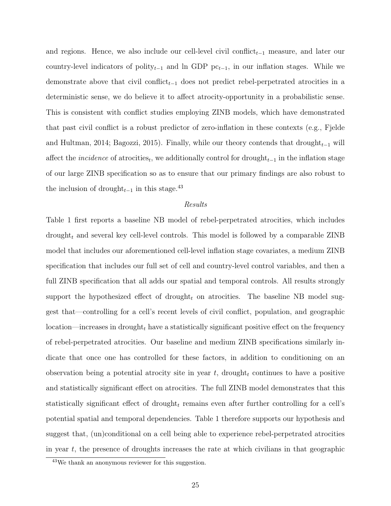and regions. Hence, we also include our cell-level civil conflict<sub>t−1</sub> measure, and later our country-level indicators of polity<sub>t−1</sub> and ln GDP pc<sub>t−1</sub>, in our inflation stages. While we demonstrate above that civil conflict<sub>t−1</sub> does not predict rebel-perpetrated atrocities in a deterministic sense, we do believe it to affect atrocity-opportunity in a probabilistic sense. This is consistent with conflict studies employing ZINB models, which have demonstrated that past civil conflict is a robust predictor of zero-inflation in these contexts (e.g., Fjelde and Hultman, 2014; Bagozzi, 2015). Finally, while our theory contends that drought<sub> $t-1$ </sub> will affect the *incidence* of atrocities<sub>t</sub>, we additionally control for drought<sub>t-1</sub> in the inflation stage of our large ZINB specification so as to ensure that our primary findings are also robust to the inclusion of drought $t_{t-1}$  in this stage.<sup>43</sup>

#### Results

Table 1 first reports a baseline NB model of rebel-perpetrated atrocities, which includes  $\text{drought}_t$  and several key cell-level controls. This model is followed by a comparable ZINB model that includes our aforementioned cell-level inflation stage covariates, a medium ZINB specification that includes our full set of cell and country-level control variables, and then a full ZINB specification that all adds our spatial and temporal controls. All results strongly support the hypothesized effect of drought<sub>t</sub> on atrocities. The baseline NB model suggest that—controlling for a cell's recent levels of civil conflict, population, and geographic location—increases in drought<sub>t</sub> have a statistically significant positive effect on the frequency of rebel-perpetrated atrocities. Our baseline and medium ZINB specifications similarly indicate that once one has controlled for these factors, in addition to conditioning on an observation being a potential atrocity site in year  $t$ , drought<sub>t</sub> continues to have a positive and statistically significant effect on atrocities. The full ZINB model demonstrates that this statistically significant effect of drought<sub>t</sub> remains even after further controlling for a cell's potential spatial and temporal dependencies. Table 1 therefore supports our hypothesis and suggest that, (un)conditional on a cell being able to experience rebel-perpetrated atrocities in year  $t$ , the presence of droughts increases the rate at which civilians in that geographic

<sup>43</sup>We thank an anonymous reviewer for this suggestion.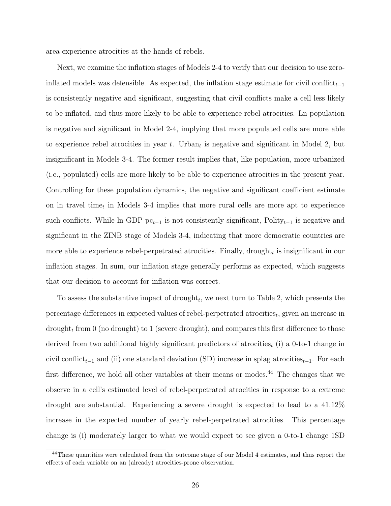area experience atrocities at the hands of rebels.

Next, we examine the inflation stages of Models 2-4 to verify that our decision to use zeroinflated models was defensible. As expected, the inflation stage estimate for civil conflict<sub>t−1</sub> is consistently negative and significant, suggesting that civil conflicts make a cell less likely to be inflated, and thus more likely to be able to experience rebel atrocities. Ln population is negative and significant in Model 2-4, implying that more populated cells are more able to experience rebel atrocities in year  $t$ . Urban<sub>t</sub> is negative and significant in Model 2, but insignificant in Models 3-4. The former result implies that, like population, more urbanized (i.e., populated) cells are more likely to be able to experience atrocities in the present year. Controlling for these population dynamics, the negative and significant coefficient estimate on ln travel time<sub>t</sub> in Models 3-4 implies that more rural cells are more apt to experience such conflicts. While ln GDP  $pc_{t-1}$  is not consistently significant, Polity<sub>t-1</sub> is negative and significant in the ZINB stage of Models 3-4, indicating that more democratic countries are more able to experience rebel-perpetrated atrocities. Finally, drought<sub>t</sub> is insignificant in our inflation stages. In sum, our inflation stage generally performs as expected, which suggests that our decision to account for inflation was correct.

To assess the substantive impact of drought<sub>t</sub>, we next turn to Table 2, which presents the percentage differences in expected values of rebel-perpetrated atrocities $_t$ , given an increase in  $\text{drought}_t$  from 0 (no drought) to 1 (severe drought), and compares this first difference to those derived from two additional highly significant predictors of atrocities<sub>t</sub> (i) a 0-to-1 change in civil conflict<sub>t−1</sub> and (ii) one standard deviation (SD) increase in splag atrocities<sub>t−1</sub>. For each first difference, we hold all other variables at their means or modes.<sup>44</sup> The changes that we observe in a cell's estimated level of rebel-perpetrated atrocities in response to a extreme drought are substantial. Experiencing a severe drought is expected to lead to a 41.12% increase in the expected number of yearly rebel-perpetrated atrocities. This percentage change is (i) moderately larger to what we would expect to see given a 0-to-1 change 1SD

<sup>&</sup>lt;sup>44</sup>These quantities were calculated from the outcome stage of our Model 4 estimates, and thus report the effects of each variable on an (already) atrocities-prone observation.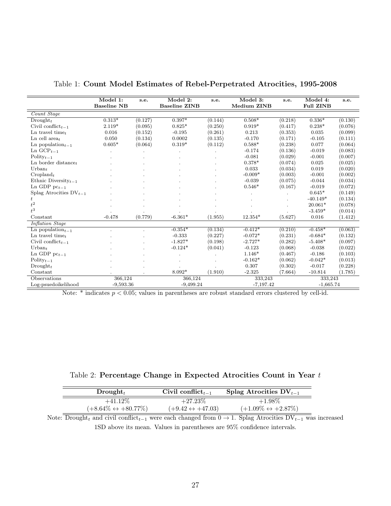|                               | Model 1:           | s.e.    | Model 2:             | s.e.    | Model 3:    | s.e.    | Model 4:         | s.e.    |
|-------------------------------|--------------------|---------|----------------------|---------|-------------|---------|------------------|---------|
|                               | <b>Baseline NB</b> |         | <b>Baseline ZINB</b> |         | Medium ZINB |         | <b>Full ZINB</b> |         |
| Count Stage                   |                    |         |                      |         |             |         |                  |         |
| $Drought_t$                   | $0.313*$           | (0.127) | $0.397*$             | (0.144) | $0.508*$    | (0.218) | $0.336*$         | (0.130) |
| Civil conflict <sub>t-1</sub> | $2.119*$           | (0.095) | $0.825*$             | (0.250) | $0.919*$    | (0.417) | $0.238*$         | (0.076) |
| Ln travel time $_t$           | 0.016              | (0.152) | $-0.195$             | (0.261) | 0.213       | (0.353) | 0.035            | (0.099) |
| Ln cell area $_t$             | 0.050              | (0.134) | 0.0002               | (0.135) | $-0.170$    | (0.171) | $-0.105$         | (0.111) |
| Ln population $_{t-1}$        | $0.605*$           | (0.064) | $0.319*$             | (0.112) | $0.588*$    | (0.238) | 0.077            | (0.064) |
| Ln $\text{GCP}_{t-1}$         |                    |         |                      |         | $-0.174$    | (0.136) | $-0.019$         | (0.083) |
| $\text{Poly}_{t-1}$           |                    |         |                      |         | $-0.081$    | (0.029) | $-0.001$         | (0.007) |
| Ln border distance $_t$       |                    |         |                      |         | $0.378*$    | (0.074) | 0.025            | (0.025) |
| $Urban_t$                     |                    |         |                      |         | 0.033       | (0.034) | 0.019            | (0.020) |
| $C_{\text{ropland}_t}$        |                    |         |                      |         | $-0.009*$   | (0.003) | $-0.001$         | (0.002) |
| Ethnic Diversity $t-1$        |                    |         |                      |         | $-0.039$    | (0.075) | $-0.044$         | (0.034) |
| Ln GDP $pc_{t-1}$             |                    |         |                      |         | $0.546*$    | (0.167) | $-0.019$         | (0.072) |
| Splag Atrocities $DV_{t-1}$   |                    |         |                      |         |             |         | $0.645*$         | (0.149) |
| $t_{\scriptscriptstyle\perp}$ |                    |         |                      |         |             |         | $-40.149*$       | (0.134) |
| $\boldsymbol{t}^2$            |                    |         |                      |         |             |         | $20.061*$        | (0.078) |
| $t^3$                         |                    |         |                      |         |             |         | $-3.459*$        | (0.014) |
| Constant                      | $-0.478$           | (0.779) | $-6.361*$            | (1.955) | $12.354*$   | (5.627) | 0.016            | (1.412) |
| <b>Inflation Stage</b>        |                    |         |                      |         |             |         |                  |         |
| Ln population $t-1$           |                    |         | $-0.354*$            | (0.134) | $-0.412*$   | (0.210) | $-0.458*$        | (0.063) |
| Ln travel time $_t$           |                    |         | $-0.333$             | (0.227) | $-0.072*$   | (0.231) | $-0.684*$        | (0.132) |
| Civil conflict <sub>t-1</sub> |                    |         | $-1.827*$            | (0.198) | $-2.727*$   | (0.282) | $-5.408*$        | (0.097) |
| Urban $_t$                    |                    |         | $-0.124*$            | (0.041) | $-0.123$    | (0.068) | $-0.038$         | (0.022) |
| Ln GDP $pc_{t-1}$             |                    |         |                      |         | $1.146*$    | (0.467) | $-0.186$         | (0.103) |
| $\text{Poly}_{t-1}$           |                    |         |                      |         | $-0.162*$   | (0.062) | $-0.042*$        | (0.013) |
| $Drought_t$                   |                    |         |                      |         | 0.307       | (0.302) | $-0.017$         | (0.228) |
| Constant                      |                    | $\cdot$ | $8.092*$             | (1.910) | $-2.325$    | (7.664) | $-10.814$        | (1.785) |
| Observations                  | 366,124            |         | 366,124              |         | 333,243     |         | 333,243          |         |
| Log-psuedoikelihood           | $-9,593.36$        |         | $-9,499.24$          |         | $-7,197.42$ |         | $-1,665.74$      |         |

Table 1: Count Model Estimates of Rebel-Perpetrated Atrocities, 1995-2008

Note:  $*$  indicates  $p < 0.05$ ; values in parentheses are robust standard errors clustered by cell-id.

| Table 2: Percentage Change in Expected Atrocities Count in Year t |  |  |  |  |  |  |  |
|-------------------------------------------------------------------|--|--|--|--|--|--|--|
|-------------------------------------------------------------------|--|--|--|--|--|--|--|

| $Drought_t$                          | Civil conflict <sub>t-1</sub>    | Splag Atrocities $DV_{t-1}$         |
|--------------------------------------|----------------------------------|-------------------------------------|
| $+41.12\%$                           | $+27.23\%$                       | $+1.98\%$                           |
| $(+8.64\% \leftrightarrow +80.77\%)$ | $(+9.42 \leftrightarrow +47.03)$ | $(+1.09\% \leftrightarrow +2.87\%)$ |

Note:  $\overline{Drought_t}$  and civil conflict<sub>t−1</sub> were each changed from  $0 \to 1$ . Splag Atrocities  $\overline{DV_{t-1}}$  was increased

1SD above its mean. Values in parentheses are 95% confidence intervals.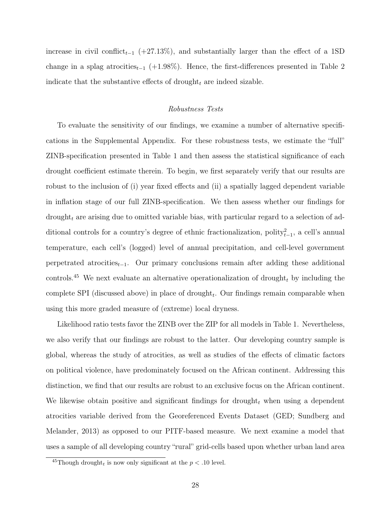increase in civil conflict<sub>t−1</sub> (+27.13%), and substantially larger than the effect of a 1SD change in a splag atrocities<sub>t−1</sub> (+1.98%). Hence, the first-differences presented in Table 2 indicate that the substantive effects of drought<sub>t</sub> are indeed sizable.

#### Robustness Tests

To evaluate the sensitivity of our findings, we examine a number of alternative specifications in the Supplemental Appendix. For these robustness tests, we estimate the "full" ZINB-specification presented in Table 1 and then assess the statistical significance of each drought coefficient estimate therein. To begin, we first separately verify that our results are robust to the inclusion of (i) year fixed effects and (ii) a spatially lagged dependent variable in inflation stage of our full ZINB-specification. We then assess whether our findings for  $\text{drought}_t$  are arising due to omitted variable bias, with particular regard to a selection of additional controls for a country's degree of ethnic fractionalization, polity $_{t-1}^2$ , a cell's annual temperature, each cell's (logged) level of annual precipitation, and cell-level government perpetrated atrocities<sub>t−1</sub>. Our primary conclusions remain after adding these additional controls.<sup>45</sup> We next evaluate an alternative operationalization of drought<sub>t</sub> by including the complete SPI (discussed above) in place of drought<sub>t</sub>. Our findings remain comparable when using this more graded measure of (extreme) local dryness.

Likelihood ratio tests favor the ZINB over the ZIP for all models in Table 1. Nevertheless, we also verify that our findings are robust to the latter. Our developing country sample is global, whereas the study of atrocities, as well as studies of the effects of climatic factors on political violence, have predominately focused on the African continent. Addressing this distinction, we find that our results are robust to an exclusive focus on the African continent. We likewise obtain positive and significant findings for drought, when using a dependent atrocities variable derived from the Georeferenced Events Dataset (GED; Sundberg and Melander, 2013) as opposed to our PITF-based measure. We next examine a model that uses a sample of all developing country "rural" grid-cells based upon whether urban land area

<sup>&</sup>lt;sup>45</sup>Though drought<sub>t</sub> is now only significant at the  $p < .10$  level.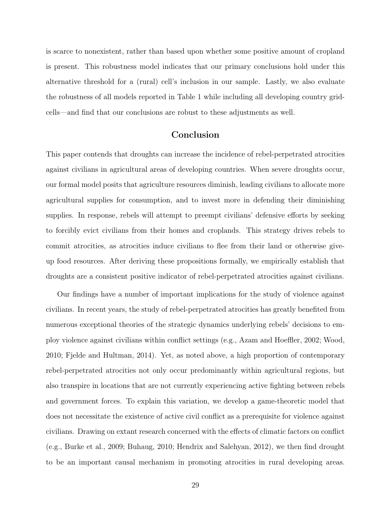is scarce to nonexistent, rather than based upon whether some positive amount of cropland is present. This robustness model indicates that our primary conclusions hold under this alternative threshold for a (rural) cell's inclusion in our sample. Lastly, we also evaluate the robustness of all models reported in Table 1 while including all developing country gridcells—and find that our conclusions are robust to these adjustments as well.

## Conclusion

This paper contends that droughts can increase the incidence of rebel-perpetrated atrocities against civilians in agricultural areas of developing countries. When severe droughts occur, our formal model posits that agriculture resources diminish, leading civilians to allocate more agricultural supplies for consumption, and to invest more in defending their diminishing supplies. In response, rebels will attempt to preempt civilians' defensive efforts by seeking to forcibly evict civilians from their homes and croplands. This strategy drives rebels to commit atrocities, as atrocities induce civilians to flee from their land or otherwise giveup food resources. After deriving these propositions formally, we empirically establish that droughts are a consistent positive indicator of rebel-perpetrated atrocities against civilians.

Our findings have a number of important implications for the study of violence against civilians. In recent years, the study of rebel-perpetrated atrocities has greatly benefited from numerous exceptional theories of the strategic dynamics underlying rebels' decisions to employ violence against civilians within conflict settings (e.g., Azam and Hoeffler, 2002; Wood, 2010; Fjelde and Hultman, 2014). Yet, as noted above, a high proportion of contemporary rebel-perpetrated atrocities not only occur predominantly within agricultural regions, but also transpire in locations that are not currently experiencing active fighting between rebels and government forces. To explain this variation, we develop a game-theoretic model that does not necessitate the existence of active civil conflict as a prerequisite for violence against civilians. Drawing on extant research concerned with the effects of climatic factors on conflict (e.g., Burke et al., 2009; Buhaug, 2010; Hendrix and Salehyan, 2012), we then find drought to be an important causal mechanism in promoting atrocities in rural developing areas.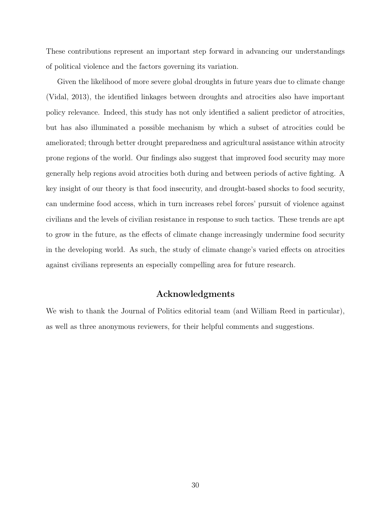These contributions represent an important step forward in advancing our understandings of political violence and the factors governing its variation.

Given the likelihood of more severe global droughts in future years due to climate change (Vidal, 2013), the identified linkages between droughts and atrocities also have important policy relevance. Indeed, this study has not only identified a salient predictor of atrocities, but has also illuminated a possible mechanism by which a subset of atrocities could be ameliorated; through better drought preparedness and agricultural assistance within atrocity prone regions of the world. Our findings also suggest that improved food security may more generally help regions avoid atrocities both during and between periods of active fighting. A key insight of our theory is that food insecurity, and drought-based shocks to food security, can undermine food access, which in turn increases rebel forces' pursuit of violence against civilians and the levels of civilian resistance in response to such tactics. These trends are apt to grow in the future, as the effects of climate change increasingly undermine food security in the developing world. As such, the study of climate change's varied effects on atrocities against civilians represents an especially compelling area for future research.

## Acknowledgments

We wish to thank the Journal of Politics editorial team (and William Reed in particular), as well as three anonymous reviewers, for their helpful comments and suggestions.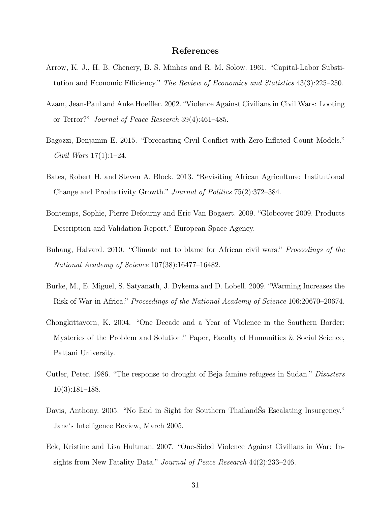### References

- Arrow, K. J., H. B. Chenery, B. S. Minhas and R. M. Solow. 1961. "Capital-Labor Substitution and Economic Efficiency." The Review of Economics and Statistics 43(3):225–250.
- Azam, Jean-Paul and Anke Hoeffler. 2002. "Violence Against Civilians in Civil Wars: Looting or Terror?" Journal of Peace Research 39(4):461–485.
- Bagozzi, Benjamin E. 2015. "Forecasting Civil Conflict with Zero-Inflated Count Models." Civil Wars 17(1):1–24.
- Bates, Robert H. and Steven A. Block. 2013. "Revisiting African Agriculture: Institutional Change and Productivity Growth." Journal of Politics 75(2):372–384.
- Bontemps, Sophie, Pierre Defourny and Eric Van Bogaert. 2009. "Globcover 2009. Products Description and Validation Report." European Space Agency.
- Buhaug, Halvard. 2010. "Climate not to blame for African civil wars." Proceedings of the National Academy of Science 107(38):16477–16482.
- Burke, M., E. Miguel, S. Satyanath, J. Dykema and D. Lobell. 2009. "Warming Increases the Risk of War in Africa." Proceedings of the National Academy of Science 106:20670–20674.
- Chongkittavorn, K. 2004. "One Decade and a Year of Violence in the Southern Border: Mysteries of the Problem and Solution." Paper, Faculty of Humanities & Social Science, Pattani University.
- Cutler, Peter. 1986. "The response to drought of Beja famine refugees in Sudan." Disasters 10(3):181–188.
- Davis, Anthony. 2005. "No End in Sight for Southern ThailandŠs Escalating Insurgency." Jane's Intelligence Review, March 2005.
- Eck, Kristine and Lisa Hultman. 2007. "One-Sided Violence Against Civilians in War: Insights from New Fatality Data." Journal of Peace Research 44(2):233–246.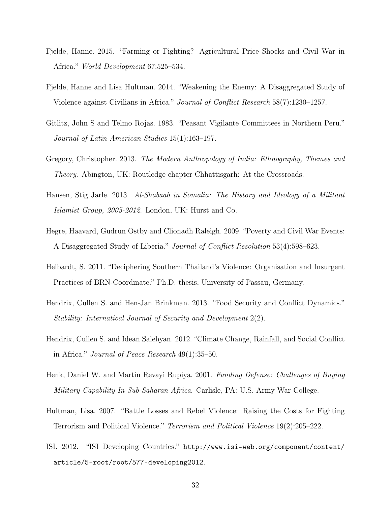- Fjelde, Hanne. 2015. "Farming or Fighting? Agricultural Price Shocks and Civil War in Africa." World Development 67:525–534.
- Fjelde, Hanne and Lisa Hultman. 2014. "Weakening the Enemy: A Disaggregated Study of Violence against Civilians in Africa." Journal of Conflict Research 58(7):1230–1257.
- Gitlitz, John S and Telmo Rojas. 1983. "Peasant Vigilante Committees in Northern Peru." Journal of Latin American Studies 15(1):163–197.
- Gregory, Christopher. 2013. The Modern Anthropology of India: Ethnography, Themes and Theory. Abington, UK: Routledge chapter Chhattisgarh: At the Crossroads.
- Hansen, Stig Jarle. 2013. Al-Shabaab in Somalia: The History and Ideology of a Militant Islamist Group, 2005-2012. London, UK: Hurst and Co.
- Hegre, Haavard, Gudrun Ostby and Clionadh Raleigh. 2009. "Poverty and Civil War Events: A Disaggregated Study of Liberia." Journal of Conflict Resolution 53(4):598–623.
- Helbardt, S. 2011. "Deciphering Southern Thailand's Violence: Organisation and Insurgent Practices of BRN-Coordinate." Ph.D. thesis, University of Passau, Germany.
- Hendrix, Cullen S. and Hen-Jan Brinkman. 2013. "Food Security and Conflict Dynamics." Stability: Internatioal Journal of Security and Development 2(2).
- Hendrix, Cullen S. and Idean Salehyan. 2012. "Climate Change, Rainfall, and Social Conflict in Africa." Journal of Peace Research 49(1):35–50.
- Henk, Daniel W. and Martin Revayi Rupiya. 2001. Funding Defense: Challenges of Buying Military Capability In Sub-Saharan Africa. Carlisle, PA: U.S. Army War College.
- Hultman, Lisa. 2007. "Battle Losses and Rebel Violence: Raising the Costs for Fighting Terrorism and Political Violence." Terrorism and Political Violence 19(2):205–222.
- ISI. 2012. "ISI Developing Countries." http://www.isi-web.org/component/content/ article/5-root/root/577-developing2012.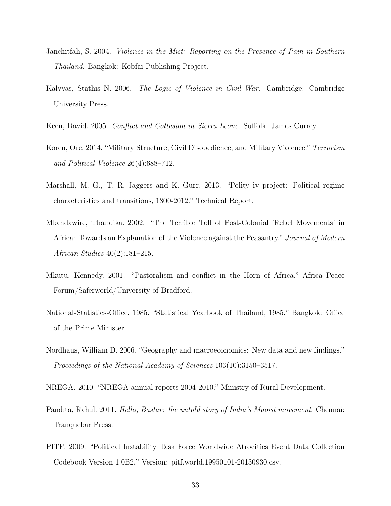- Janchitfah, S. 2004. Violence in the Mist: Reporting on the Presence of Pain in Southern Thailand. Bangkok: Kobfai Publishing Project.
- Kalyvas, Stathis N. 2006. The Logic of Violence in Civil War. Cambridge: Cambridge University Press.
- Keen, David. 2005. Conflict and Collusion in Sierra Leone. Suffolk: James Currey.
- Koren, Ore. 2014. "Military Structure, Civil Disobedience, and Military Violence." Terrorism and Political Violence 26(4):688–712.
- Marshall, M. G., T. R. Jaggers and K. Gurr. 2013. "Polity iv project: Political regime characteristics and transitions, 1800-2012." Technical Report.
- Mkandawire, Thandika. 2002. "The Terrible Toll of Post-Colonial 'Rebel Movements' in Africa: Towards an Explanation of the Violence against the Peasantry." Journal of Modern African Studies 40(2):181–215.
- Mkutu, Kennedy. 2001. "Pastoralism and conflict in the Horn of Africa." Africa Peace Forum/Saferworld/University of Bradford.
- National-Statistics-Office. 1985. "Statistical Yearbook of Thailand, 1985." Bangkok: Office of the Prime Minister.
- Nordhaus, William D. 2006. "Geography and macroeconomics: New data and new findings." Proceedings of the National Academy of Sciences 103(10):3150–3517.
- NREGA. 2010. "NREGA annual reports 2004-2010." Ministry of Rural Development.
- Pandita, Rahul. 2011. *Hello, Bastar: the untold story of India's Maoist movement*. Chennai: Tranquebar Press.
- PITF. 2009. "Political Instability Task Force Worldwide Atrocities Event Data Collection Codebook Version 1.0B2." Version: pitf.world.19950101-20130930.csv.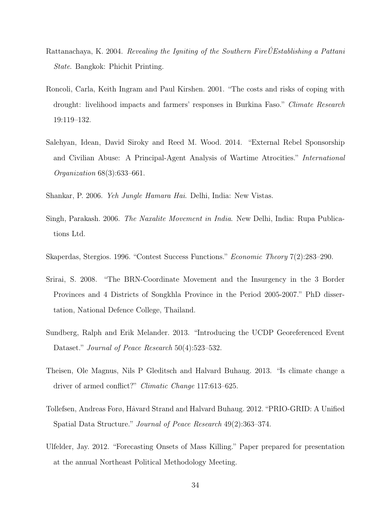- Rattanachaya, K. 2004. Revealing the Igniting of the Southern FireŮEstablishing a Pattani State. Bangkok: Phichit Printing.
- Roncoli, Carla, Keith Ingram and Paul Kirshen. 2001. "The costs and risks of coping with drought: livelihood impacts and farmers' responses in Burkina Faso." Climate Research 19:119–132.
- Salehyan, Idean, David Siroky and Reed M. Wood. 2014. "External Rebel Sponsorship and Civilian Abuse: A Principal-Agent Analysis of Wartime Atrocities." International Organization 68(3):633–661.
- Shankar, P. 2006. Yeh Jungle Hamara Hai. Delhi, India: New Vistas.
- Singh, Parakash. 2006. The Naxalite Movement in India. New Delhi, India: Rupa Publications Ltd.
- Skaperdas, Stergios. 1996. "Contest Success Functions." Economic Theory 7(2):283–290.
- Srirai, S. 2008. "The BRN-Coordinate Movement and the Insurgency in the 3 Border Provinces and 4 Districts of Songkhla Province in the Period 2005-2007." PhD dissertation, National Defence College, Thailand.
- Sundberg, Ralph and Erik Melander. 2013. "Introducing the UCDP Georeferenced Event Dataset." *Journal of Peace Research* 50(4):523–532.
- Theisen, Ole Magnus, Nils P Gleditsch and Halvard Buhaug. 2013. "Is climate change a driver of armed conflict?" Climatic Change 117:613–625.
- Tollefsen, Andreas Forø, Håvard Strand and Halvard Buhaug. 2012. "PRIO-GRID: A Unified Spatial Data Structure." Journal of Peace Research 49(2):363–374.
- Ulfelder, Jay. 2012. "Forecasting Onsets of Mass Killing." Paper prepared for presentation at the annual Northeast Political Methodology Meeting.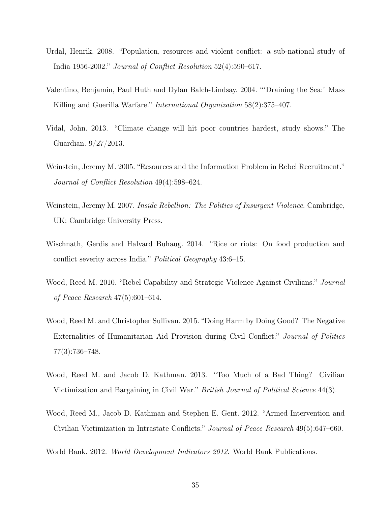- Urdal, Henrik. 2008. "Population, resources and violent conflict: a sub-national study of India 1956-2002." Journal of Conflict Resolution 52(4):590–617.
- Valentino, Benjamin, Paul Huth and Dylan Balch-Lindsay. 2004. "'Draining the Sea:' Mass Killing and Guerilla Warfare." International Organization 58(2):375–407.
- Vidal, John. 2013. "Climate change will hit poor countries hardest, study shows." The Guardian. 9/27/2013.
- Weinstein, Jeremy M. 2005. "Resources and the Information Problem in Rebel Recruitment." Journal of Conflict Resolution 49(4):598–624.
- Weinstein, Jeremy M. 2007. *Inside Rebellion: The Politics of Insurgent Violence*. Cambridge, UK: Cambridge University Press.
- Wischnath, Gerdis and Halvard Buhaug. 2014. "Rice or riots: On food production and conflict severity across India." Political Geography 43:6–15.
- Wood, Reed M. 2010. "Rebel Capability and Strategic Violence Against Civilians." Journal of Peace Research 47(5):601–614.
- Wood, Reed M. and Christopher Sullivan. 2015. "Doing Harm by Doing Good? The Negative Externalities of Humanitarian Aid Provision during Civil Conflict." Journal of Politics 77(3):736–748.
- Wood, Reed M. and Jacob D. Kathman. 2013. "Too Much of a Bad Thing? Civilian Victimization and Bargaining in Civil War." British Journal of Political Science 44(3).
- Wood, Reed M., Jacob D. Kathman and Stephen E. Gent. 2012. "Armed Intervention and Civilian Victimization in Intrastate Conflicts." Journal of Peace Research 49(5):647–660.
- World Bank. 2012. World Development Indicators 2012. World Bank Publications.